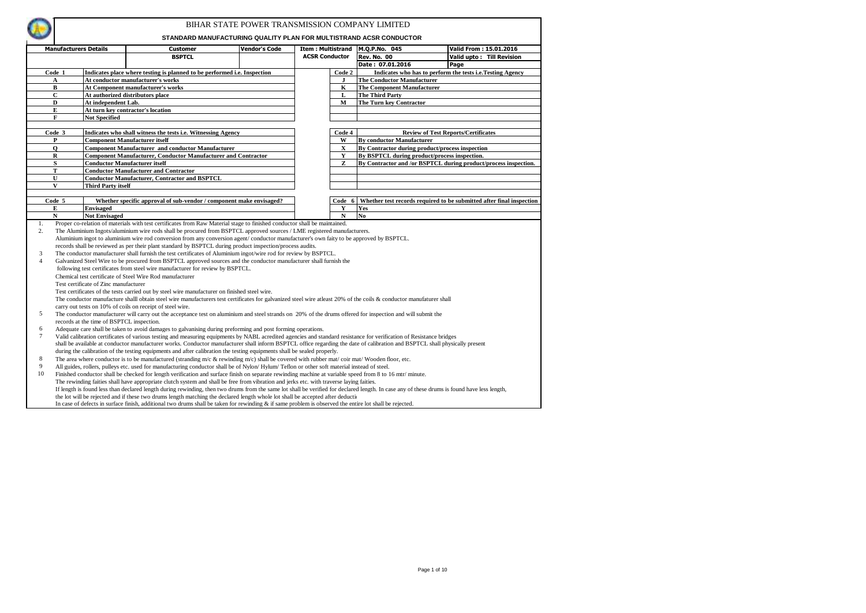

|                | <b>Manufacturers Details</b> |                                           | Customer                                                                                                                                                                                     | Vendor's Code | <b>Item: Multistrand</b> |             | M.Q.P.No. 045                                                        |                                                           | Valid From: 15.01.2016    |
|----------------|------------------------------|-------------------------------------------|----------------------------------------------------------------------------------------------------------------------------------------------------------------------------------------------|---------------|--------------------------|-------------|----------------------------------------------------------------------|-----------------------------------------------------------|---------------------------|
|                |                              |                                           | <b>BSPTCL</b>                                                                                                                                                                                |               | <b>ACSR Conductor</b>    |             | <b>Rev. No. 00</b>                                                   |                                                           | Valid upto: Till Revision |
|                |                              |                                           |                                                                                                                                                                                              |               |                          |             | Date: 07.01.2016                                                     | Page                                                      |                           |
|                | Code 1                       |                                           | Indicates place where testing is planned to be performed i.e. Inspection                                                                                                                     |               |                          | Code 2      |                                                                      | Indicates who has to perform the tests i.e.Testing Agency |                           |
|                | A                            |                                           | At conductor manufacturer's works                                                                                                                                                            |               |                          | п           | The Conductor Manufacturer                                           |                                                           |                           |
|                | в                            |                                           | At Component manufacturer's works                                                                                                                                                            |               |                          | $\bf K$     | <b>The Component Manufacturer</b>                                    |                                                           |                           |
|                | $\mathbf C$                  |                                           | At authorized distributors place                                                                                                                                                             |               |                          | L           | The Third Party                                                      |                                                           |                           |
|                | D                            | At independent Lab.                       |                                                                                                                                                                                              |               |                          | м           | The Turn key Contractor                                              |                                                           |                           |
|                | E                            |                                           | At turn key contractor's location                                                                                                                                                            |               |                          |             |                                                                      |                                                           |                           |
|                | F                            | <b>Not Specified</b>                      |                                                                                                                                                                                              |               |                          |             |                                                                      |                                                           |                           |
|                |                              |                                           |                                                                                                                                                                                              |               |                          |             |                                                                      |                                                           |                           |
|                | Code 3                       |                                           | Indicates who shall witness the tests i.e. Witnessing Agency                                                                                                                                 |               |                          | Code 4      |                                                                      | <b>Review of Test Reports/Certificates</b>                |                           |
|                | P                            |                                           | <b>Component Manufacturer itself</b>                                                                                                                                                         |               |                          | W           | <b>By conductor Manufacturer</b>                                     |                                                           |                           |
|                | $\mathbf 0$                  |                                           | <b>Component Manufacturer and conductor Manufacturer</b>                                                                                                                                     |               |                          | $\mathbf X$ | By Contractor during product/process inspection                      |                                                           |                           |
|                | $\mathbf R$                  |                                           | <b>Component Manufacturer, Conductor Manufacturer and Contractor</b>                                                                                                                         |               |                          | $\mathbf Y$ | By BSPTCL during product/process inspection.                         |                                                           |                           |
|                | $\mathbf S$                  |                                           | <b>Conductor Manufacturer itself</b>                                                                                                                                                         |               |                          | Z           | By Contractor and /or BSPTCL during product/process inspection.      |                                                           |                           |
|                | ${\bf T}$                    |                                           | <b>Conductor Manufacturer and Contractor</b>                                                                                                                                                 |               |                          |             |                                                                      |                                                           |                           |
|                | U                            |                                           | <b>Conductor Manufacturer, Contractor and BSPTCL</b>                                                                                                                                         |               |                          |             |                                                                      |                                                           |                           |
|                | $\mathbf{V}$                 | Third Party itself                        |                                                                                                                                                                                              |               |                          |             |                                                                      |                                                           |                           |
|                |                              |                                           |                                                                                                                                                                                              |               |                          |             |                                                                      |                                                           |                           |
|                | Code 5                       |                                           | Whether specific approval of sub-vendor / component make envisaged?                                                                                                                          |               |                          | Code<br>6   | Whether test records required to be submitted after final inspection |                                                           |                           |
|                | E                            | <b>Envisaged</b>                          |                                                                                                                                                                                              |               |                          | Y           | Yes                                                                  |                                                           |                           |
|                | N                            | <b>Not Envisaged</b>                      |                                                                                                                                                                                              |               |                          | $\mathbf N$ | N <sub>0</sub>                                                       |                                                           |                           |
| 1.             |                              |                                           | Proper co-relation of materials with test certificates from Raw Material stage to finished conductor shall be maintained.                                                                    |               |                          |             |                                                                      |                                                           |                           |
| 2.             |                              |                                           | The Aluminium Ingots/aluminium wire rods shall be procured from BSPTCL approved sources / LME registered manufacturers.                                                                      |               |                          |             |                                                                      |                                                           |                           |
|                |                              |                                           | Aluminium ingot to aluminium wire rod conversion from any conversion agent/conductor manufacturer's own faity to be approved by BSPTCL.                                                      |               |                          |             |                                                                      |                                                           |                           |
|                |                              |                                           | records shall be reviewed as per their plant standard by BSPTCL during product inspection/process audits.                                                                                    |               |                          |             |                                                                      |                                                           |                           |
| 3              |                              |                                           | The conductor manufacturer shall furnish the test certificates of Aluminium ingot/wire rod for review by BSPTCL.                                                                             |               |                          |             |                                                                      |                                                           |                           |
| $\overline{4}$ |                              |                                           | Galvanized Steel Wire to be procured from BSPTCL approved sources and the conductor manufacturer shall furnish the                                                                           |               |                          |             |                                                                      |                                                           |                           |
|                |                              |                                           | following test certificates from steel wire manufacturer for review by BSPTCL.                                                                                                               |               |                          |             |                                                                      |                                                           |                           |
|                |                              |                                           | Chemical test certificate of Steel Wire Rod manufacturer                                                                                                                                     |               |                          |             |                                                                      |                                                           |                           |
|                |                              | Test certificate of Zinc manufacturer     |                                                                                                                                                                                              |               |                          |             |                                                                      |                                                           |                           |
|                |                              |                                           | Test certificates of the tests carried out by steel wire manufacturer on finished steel wire.                                                                                                |               |                          |             |                                                                      |                                                           |                           |
|                |                              |                                           | The conductor manufacture shalll obtain steel wire manufacturers test certificates for galvanized steel wire atleast 20% of the coils & conductor manufaturer shall                          |               |                          |             |                                                                      |                                                           |                           |
|                |                              |                                           | carry out tests on 10% of coils on receipt of steel wire.                                                                                                                                    |               |                          |             |                                                                      |                                                           |                           |
| 5              |                              |                                           | The conductor manufacturer will carry out the acceptance test on aluminium and steel strands on 20% of the drums offered for inspection and will submit the                                  |               |                          |             |                                                                      |                                                           |                           |
|                |                              | records at the time of BSPTCL inspection. |                                                                                                                                                                                              |               |                          |             |                                                                      |                                                           |                           |
| 6              |                              |                                           | Adequate care shall be taken to avoid damages to galvanising during preforming and post forming operations.                                                                                  |               |                          |             |                                                                      |                                                           |                           |
| 7              |                              |                                           | Valid calibration certificates of various testing and measuring equipments by NABL acredited agencies and standard resistance for verification of Resistance bridges                         |               |                          |             |                                                                      |                                                           |                           |
|                |                              |                                           | shall be available at conductor manufacturer works. Conductor manufacturer shall inform BSPTCL office regarding the date of calibration and BSPTCL shall physically present                  |               |                          |             |                                                                      |                                                           |                           |
|                |                              |                                           | during the calibration of the testing equipments and after calibration the testing equipments shall be sealed properly.                                                                      |               |                          |             |                                                                      |                                                           |                           |
| 8              |                              |                                           | The area where conductor is to be manufactured (stranding $m/c$ & rewinding $m/c$ ) shall be covered with rubber mat/coir mat/Wooden floor, etc.                                             |               |                          |             |                                                                      |                                                           |                           |
| 9              |                              |                                           | All guides, rollers, pulleys etc. used for manufacturing conductor shall be of Nylon/Hylum/Teflon or other soft material instead of steel.                                                   |               |                          |             |                                                                      |                                                           |                           |
| 10             |                              |                                           | Finished conductor shall be checked for length verification and surface finish on separate rewinding machine at variable speed from 8 to 16 mtr/ minute.                                     |               |                          |             |                                                                      |                                                           |                           |
|                |                              |                                           | The rewinding faities shall have appropriate clutch system and shall be free from vibration and jerks etc. with traverse laying faities.                                                     |               |                          |             |                                                                      |                                                           |                           |
|                |                              |                                           | If length is found less than declared length during rewinding, then two drums from the same lot shall be verified for declared length. In case any of these drums is found have less length, |               |                          |             |                                                                      |                                                           |                           |
|                |                              |                                           | the lot will be rejected and if these two drums length matching the declared length whole lot shall be accepted after deductiv                                                               |               |                          |             |                                                                      |                                                           |                           |
|                |                              |                                           | In case of defects in surface finish, additional two drums shall be taken for rewinding & if same problem is observed the entire lot shall be rejected.                                      |               |                          |             |                                                                      |                                                           |                           |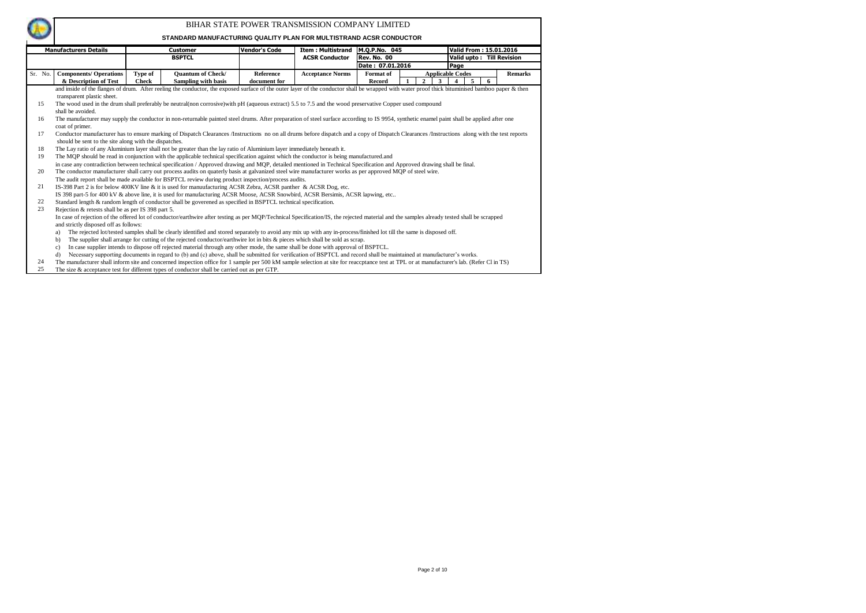

|         | <b>Manufacturers Details</b>                                                                                                                                                                |         | <b>Customer</b>                                                                                                                                                                                 | <b>Vendor's Code</b> | Item : Multistrand   M.Q.P.No. 045 |                  |  |        |                         | Valid From: 15.01.2016 |                           |  |  |
|---------|---------------------------------------------------------------------------------------------------------------------------------------------------------------------------------------------|---------|-------------------------------------------------------------------------------------------------------------------------------------------------------------------------------------------------|----------------------|------------------------------------|------------------|--|--------|-------------------------|------------------------|---------------------------|--|--|
|         |                                                                                                                                                                                             |         |                                                                                                                                                                                                 |                      |                                    |                  |  |        |                         |                        |                           |  |  |
|         |                                                                                                                                                                                             |         | <b>BSPTCL</b>                                                                                                                                                                                   |                      | <b>ACSR Conductor</b>              | Rev. No. 00      |  |        |                         |                        | Valid upto: Till Revision |  |  |
|         |                                                                                                                                                                                             |         |                                                                                                                                                                                                 |                      |                                    | Date: 07.01.2016 |  |        | Page                    |                        |                           |  |  |
| Sr. No. | <b>Components/ Operations</b>                                                                                                                                                               | Type of | <b>Ouantum of Check/</b>                                                                                                                                                                        | Reference            | <b>Acceptance Norms</b>            | Format of        |  |        | <b>Applicable Codes</b> |                        | <b>Remarks</b>            |  |  |
|         | & Description of Test                                                                                                                                                                       | Check   | Sampling with basis                                                                                                                                                                             | document for         |                                    | Record           |  | 2<br>3 | $\overline{4}$          | 5<br>6                 |                           |  |  |
|         |                                                                                                                                                                                             |         | and inside of the flanges of drum. After reeling the conductor, the exposed surface of the outer layer of the conductor shall be wrapped with water proof thick bituminised bamboo paper & then |                      |                                    |                  |  |        |                         |                        |                           |  |  |
|         | transparent plastic sheet.                                                                                                                                                                  |         |                                                                                                                                                                                                 |                      |                                    |                  |  |        |                         |                        |                           |  |  |
| 15      |                                                                                                                                                                                             |         | The wood used in the drum shall preferably be neutral(non corrosive)with pH (aqueous extract) 5.5 to 7.5 and the wood preservative Copper used compound                                         |                      |                                    |                  |  |        |                         |                        |                           |  |  |
|         | shall be avoided.                                                                                                                                                                           |         |                                                                                                                                                                                                 |                      |                                    |                  |  |        |                         |                        |                           |  |  |
| 16      |                                                                                                                                                                                             |         | The manufacturer may supply the conductor in non-returnable painted steel drums. After preparation of steel surface according to IS 9954, synthetic enamel paint shall be applied after one     |                      |                                    |                  |  |        |                         |                        |                           |  |  |
|         | coat of primer.                                                                                                                                                                             |         |                                                                                                                                                                                                 |                      |                                    |                  |  |        |                         |                        |                           |  |  |
| 17      | Conductor manufacturer has to ensure marking of Dispatch Clearances/Instructions no on all drums before dispatch and a copy of Dispatch Clearances/Instructions along with the test reports |         |                                                                                                                                                                                                 |                      |                                    |                  |  |        |                         |                        |                           |  |  |
|         | should be sent to the site along with the dispatches.                                                                                                                                       |         |                                                                                                                                                                                                 |                      |                                    |                  |  |        |                         |                        |                           |  |  |
| 18      |                                                                                                                                                                                             |         | The Lay ratio of any Aluminium layer shall not be greater than the lay ratio of Aluminium layer immediately beneath it.                                                                         |                      |                                    |                  |  |        |                         |                        |                           |  |  |
| 19      |                                                                                                                                                                                             |         | The MQP should be read in conjunction with the applicable technical specification against which the conductor is being manufactured, and                                                        |                      |                                    |                  |  |        |                         |                        |                           |  |  |
|         |                                                                                                                                                                                             |         | in case any contradiction between technical specification / Approved drawing and MOP, detailed mentioned in Technical Specification and Approved drawing shall be final.                        |                      |                                    |                  |  |        |                         |                        |                           |  |  |
| 20      |                                                                                                                                                                                             |         | The conductor manufacturer shall carry out process audits on quaterly basis at galvanized steel wire manufacturer works as per approved MQP of steel wire.                                      |                      |                                    |                  |  |        |                         |                        |                           |  |  |
|         |                                                                                                                                                                                             |         | The audit report shall be made available for BSPTCL review during product inspection/process audits.                                                                                            |                      |                                    |                  |  |        |                         |                        |                           |  |  |
| 21      |                                                                                                                                                                                             |         | IS-398 Part 2 is for below 400KV line & it is used for manuufacturing ACSR Zebra, ACSR panther & ACSR Dog, etc.                                                                                 |                      |                                    |                  |  |        |                         |                        |                           |  |  |
|         |                                                                                                                                                                                             |         | IS 398 part-5 for 400 kV & above line, it is used for manufacturing ACSR Moose, ACSR Snowbird, ACSR Bersimis, ACSR lapwing, etc                                                                 |                      |                                    |                  |  |        |                         |                        |                           |  |  |
| 22      |                                                                                                                                                                                             |         | Standard length & random length of conductor shall be goverened as specified in BSPTCL technical specification.                                                                                 |                      |                                    |                  |  |        |                         |                        |                           |  |  |
| 23      | Rejection & retests shall be as per IS 398 part 5.                                                                                                                                          |         |                                                                                                                                                                                                 |                      |                                    |                  |  |        |                         |                        |                           |  |  |
|         |                                                                                                                                                                                             |         | In case of rejection of the offered lot of conductor/earthwire after testing as per MOP/Technical Specification/IS, the rejected material and the samples already tested shall be scrapped      |                      |                                    |                  |  |        |                         |                        |                           |  |  |
|         | and strictly disposed off as follows:                                                                                                                                                       |         |                                                                                                                                                                                                 |                      |                                    |                  |  |        |                         |                        |                           |  |  |
|         | a)                                                                                                                                                                                          |         | The rejected lot/tested samples shall be clearly identified and stored separately to avoid any mix up with any in-process/finished lot till the same is disposed off.                           |                      |                                    |                  |  |        |                         |                        |                           |  |  |
|         | $\mathbf{b}$                                                                                                                                                                                |         | The supplier shall arrange for cutting of the rejected conductor/earthwire lot in bits & pieces which shall be sold as scrap.                                                                   |                      |                                    |                  |  |        |                         |                        |                           |  |  |
|         | c)                                                                                                                                                                                          |         | In case supplier intends to dispose off rejected material through any other mode, the same shall be done with approval of BSPTCL.                                                               |                      |                                    |                  |  |        |                         |                        |                           |  |  |
|         | d)                                                                                                                                                                                          |         | Necessary supporting documents in regard to (b) and (c) above, shall be submitted for verification of BSPTCL and record shall be maintained at manufacturer's works.                            |                      |                                    |                  |  |        |                         |                        |                           |  |  |
| 24      |                                                                                                                                                                                             |         | The manufacturer shall inform site and concerned inspection office for 1 sample per 500 kM sample selection at site for reaccptance test at TPL or at manufacturer's lab. (Refer Cl in TS)      |                      |                                    |                  |  |        |                         |                        |                           |  |  |
| 25      |                                                                                                                                                                                             |         | The size & acceptance test for different types of conductor shall be carried out as per GTP.                                                                                                    |                      |                                    |                  |  |        |                         |                        |                           |  |  |

- 
-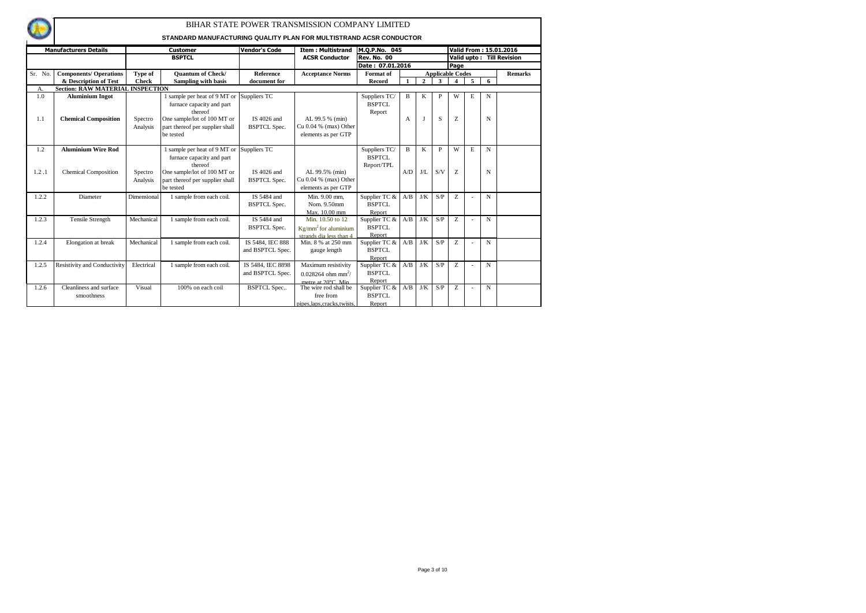|         |                                         |              |                                                                    |                      | BIHAR STATE POWER TRANSMISSION COMPANY LIMITED |                           |                |                |                         |      |   |             |                           |
|---------|-----------------------------------------|--------------|--------------------------------------------------------------------|----------------------|------------------------------------------------|---------------------------|----------------|----------------|-------------------------|------|---|-------------|---------------------------|
|         |                                         |              | STANDARD MANUFACTURING QUALITY PLAN FOR MULTISTRAND ACSR CONDUCTOR |                      |                                                |                           |                |                |                         |      |   |             |                           |
|         | <b>Manufacturers Details</b>            |              | <b>Customer</b>                                                    | <b>Vendor's Code</b> | <b>Item: Multistrand</b>                       | M.Q.P.No. 045             |                |                |                         |      |   |             | Valid From: 15.01.2016    |
|         |                                         |              | <b>BSPTCL</b>                                                      |                      | <b>ACSR Conductor</b>                          | <b>Rev. No. 00</b>        |                |                |                         |      |   |             | Valid upto: Till Revision |
|         |                                         |              |                                                                    |                      |                                                | Date: 07.01.2016          |                |                |                         | Page |   |             |                           |
| Sr. No. | <b>Components/ Operations</b>           | Type of      | <b>Ouantum of Check/</b>                                           | <b>Reference</b>     | <b>Acceptance Norms</b>                        | Format of                 |                |                | <b>Applicable Codes</b> |      |   |             | <b>Remarks</b>            |
|         | & Description of Test                   | <b>Check</b> | Sampling with basis                                                | document for         |                                                | Record                    | -1             | $\overline{2}$ | 3                       | 4    | 5 | 6           |                           |
| А.      | <b>Section: RAW MATERIAL INSPECTION</b> |              |                                                                    |                      |                                                |                           |                |                |                         |      |   |             |                           |
| 1.0     | <b>Aluminium Ingot</b>                  |              | sample per heat of 9 MT or Suppliers TC                            |                      |                                                | Suppliers TC/             | B              | K              | P                       | w    | Е | N           |                           |
|         |                                         |              | furnace capacity and part                                          |                      |                                                | <b>BSPTCL</b>             |                |                |                         |      |   |             |                           |
|         |                                         |              | thereof                                                            |                      |                                                | Report                    |                |                |                         |      |   |             |                           |
| 1.1     | <b>Chemical Composition</b>             | Spectro      | One sample/lot of 100 MT or                                        | IS 4026 and          | AL 99.5 % (min)                                |                           | $\mathbf{A}$   | $\mathbf I$    | S                       | Z    |   | N           |                           |
|         |                                         | Analysis     | part thereof per supplier shall                                    | <b>BSPTCL Spec.</b>  | Cu $0.04$ % (max) Other                        |                           |                |                |                         |      |   |             |                           |
|         |                                         |              | be tested                                                          |                      | elements as per GTP                            |                           |                |                |                         |      |   |             |                           |
|         |                                         |              |                                                                    |                      |                                                |                           |                |                |                         |      |   |             |                           |
| 1.2     | <b>Aluminium Wire Rod</b>               |              | 1 sample per heat of 9 MT or Suppliers TC                          |                      |                                                | Suppliers $\overline{TC}$ | $\overline{B}$ | $\mathbf K$    | P                       | W    | E | $\mathbf N$ |                           |
|         |                                         |              | furnace capacity and part                                          |                      |                                                | <b>BSPTCL</b>             |                |                |                         |      |   |             |                           |
|         |                                         |              | thereof                                                            |                      |                                                | Report/TPL                |                |                |                         |      |   |             |                           |
| 1.2.1   | <b>Chemical Composition</b>             | Spectro      | One sample/lot of 100 MT or                                        | IS 4026 and          | AL 99.5% (min)                                 |                           | A/D            | J/L            | S/V                     | Z    |   | N           |                           |
|         |                                         | Analysis     | part thereof per supplier shall                                    | <b>BSPTCL Spec.</b>  | Cu 0.04 % (max) Other                          |                           |                |                |                         |      |   |             |                           |
|         |                                         |              | be tested                                                          |                      | elements as per GTP                            |                           |                |                |                         |      |   |             |                           |
| 1.2.2   | Diameter                                | Dimensional  | 1 sample from each coil.                                           | IS 5484 and          | Min. 9.00 mm.                                  | Supplier TC &             | A/B            | J/K            | S/P                     | Z.   |   | N           |                           |
|         |                                         |              |                                                                    | <b>BSPTCL Spec.</b>  | Nom. 9.50mm                                    | <b>BSPTCL</b>             |                |                |                         |      |   |             |                           |
|         |                                         |              |                                                                    |                      | Max. 10.00 mm                                  | Report                    |                |                |                         |      |   |             |                           |
| 1.2.3   | <b>Tensile Strength</b>                 | Mechanical   | 1 sample from each coil.                                           | IS 5484 and          | Min. 10.50 to 12                               | Supplier TC &             | A/B            | J/K            | S/P                     | Z    |   | N           |                           |
|         |                                         |              |                                                                    | <b>BSPTCL Spec.</b>  | $Kg/mm2$ for aluminium                         | <b>BSPTCL</b>             |                |                |                         |      |   |             |                           |
|         |                                         |              |                                                                    |                      | strands dia less than 4                        | Report                    |                |                |                         |      |   |             |                           |
| 1.2.4   | Elongation at break                     | Mechanical   | 1 sample from each coil.                                           | IS 5484, IEC 888     | Min. 8 % at 250 mm                             | Supplier TC &             | A/B            | J/K            | S/P                     | Z.   |   | $\mathbf N$ |                           |
|         |                                         |              |                                                                    | and BSPTCL Spec.     | gauge length                                   | <b>BSPTCL</b>             |                |                |                         |      |   |             |                           |
|         |                                         |              |                                                                    |                      |                                                | Report                    |                |                |                         |      |   |             |                           |
| 1.2.5   | Resistivity and Conductivity            | Electrical   | 1 sample from each coil.                                           | IS 5484, IEC 8898    | Maximum resistivity                            | Supplier TC &             | A/B            | J/K            | S/P                     | Z    |   | N           |                           |
|         |                                         |              |                                                                    | and BSPTCL Spec.     | $0.028264$ ohm mm <sup>2</sup> /               | <b>BSPTCL</b>             |                |                |                         |      |   |             |                           |
|         |                                         |              |                                                                    |                      | metre at 20°C. Min.                            | Report                    |                |                |                         |      |   |             |                           |
| 1.2.6   | Cleanliness and surface                 | Visual       | 100% on each coil                                                  | <b>BSPTCL Spec</b>   | The wire rod shall be                          | Supplier TC &             | A/B            | J/K            | S/P                     | Z    | ÷ | N           |                           |
|         | smoothness                              |              |                                                                    |                      | free from                                      | <b>BSPTCL</b>             |                |                |                         |      |   |             |                           |
|         |                                         |              |                                                                    |                      | pipes, laps, cracks, twists,                   | Report                    |                |                |                         |      |   |             |                           |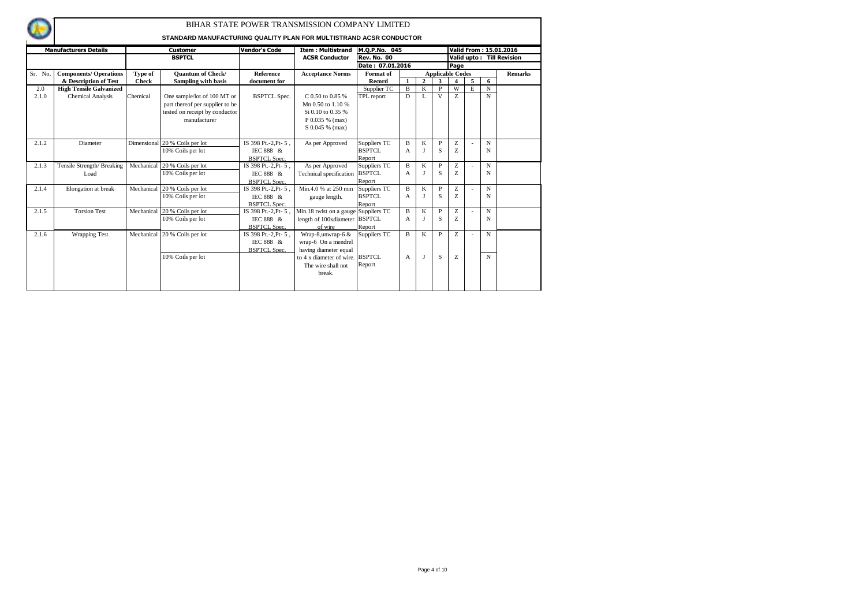|         | <b>Manufacturers Details</b>   |              | Customer                        | <b>Vendor's Code</b> | <b>Item: Multistrand</b>             | M.Q.P.No. 045      |                |                |                         |      |   |             | Valid From: 15.01.2016    |
|---------|--------------------------------|--------------|---------------------------------|----------------------|--------------------------------------|--------------------|----------------|----------------|-------------------------|------|---|-------------|---------------------------|
|         |                                |              | <b>BSPTCL</b>                   |                      | <b>ACSR Conductor</b>                | <b>Rev. No. 00</b> |                |                |                         |      |   |             | Valid upto: Till Revision |
|         |                                |              |                                 |                      |                                      | Date: 07.01.2016   |                |                |                         | Page |   |             |                           |
| Sr. No. | <b>Components/ Operations</b>  | Type of      | <b>Ouantum of Check/</b>        | Reference            | <b>Acceptance Norms</b>              | Format of          |                |                | <b>Applicable Codes</b> |      |   |             | <b>Remarks</b>            |
|         | & Description of Test          | <b>Check</b> | <b>Sampling with basis</b>      | document for         |                                      | Record             |                | $\overline{2}$ | 3                       | 4    | 5 | 6           |                           |
| 2.0     | <b>High Tensile Galvanized</b> |              |                                 |                      |                                      | Supplier TC        | $\overline{B}$ | K              | P                       | W    | E | N           |                           |
| 2.1.0   | <b>Chemical Analysis</b>       | Chemical     | One sample/lot of 100 MT or     | <b>BSPTCL Spec.</b>  | C 0.50 to 0.85 %                     | TPL report         | D              | L              | V                       | Z    |   | N           |                           |
|         |                                |              | part thereof per supplier to be |                      | Mn 0.50 to 1.10 %                    |                    |                |                |                         |      |   |             |                           |
|         |                                |              | tested on receipt by conductor  |                      | Si 0.10 to 0.35 %                    |                    |                |                |                         |      |   |             |                           |
|         |                                |              | manufacturer                    |                      | P 0.035 % (max)                      |                    |                |                |                         |      |   |             |                           |
|         |                                |              |                                 |                      | S 0.045 % (max)                      |                    |                |                |                         |      |   |             |                           |
|         |                                |              |                                 |                      |                                      |                    |                |                |                         |      |   |             |                           |
| 2.1.2   | Diameter                       |              | Dimensional 20 % Coils per lot  | IS 398 Pt.-2.Pt-5.   | As per Approved                      | Suppliers TC       | B              | K              | $\mathbf{P}$            | Z    |   | N           |                           |
|         |                                |              | 10% Coils per lot               | IEC 888 &            |                                      | <b>BSPTCL</b>      | A              |                | S                       | Z    |   | N           |                           |
|         |                                |              |                                 | <b>BSPTCL Spec.</b>  |                                      | Report             |                |                |                         |      |   |             |                           |
| 2.1.3   | Tensile Strength/ Breaking     | Mechanical   | 20 % Coils per lot              | IS 398 Pt.-2, Pt-5,  | As per Approved                      | Suppliers TC       | B              | K              | P                       | Z    |   | N           |                           |
|         | Load                           |              | 10% Coils per lot               | IEC 888 &            | Technical specification              | <b>BSPTCL</b>      | A              |                | S                       | Z    |   | N           |                           |
|         |                                |              |                                 | <b>BSPTCL Spec.</b>  |                                      | Report             |                |                |                         |      |   |             |                           |
| 2.1.4   | Elongation at break            | Mechanical   | 20 % Coils per lot              | IS 398 Pt.-2, Pt-5,  | Min.4.0 % at 250 mm                  | Suppliers TC       | B              | K              | $\mathbf{P}$            | Ζ    |   | N           |                           |
|         |                                |              | 10% Coils per lot               | IEC 888 &            | gauge length.                        | <b>BSPTCL</b>      | A              |                | S                       | Z    |   | N           |                           |
|         |                                |              |                                 | <b>BSPTCL Spec.</b>  |                                      | Report             |                |                |                         |      |   |             |                           |
| 2.1.5   | <b>Torsion Test</b>            | Mechanical   | 20 % Coils per lot              | IS 398 Pt.-2, Pt-5,  | Min.18 twist on a gauge Suppliers TC |                    | B              | K              | $\mathbf{P}$            | Z    |   | N           |                           |
|         |                                |              | 10% Coils per lot               | IEC 888 &            | length of 100xdiameter BSPTCL        |                    | A              |                | S                       | Z    |   | N           |                           |
|         |                                |              |                                 | <b>BSPTCL Spec.</b>  | of wire                              | Report             |                |                |                         |      |   |             |                           |
| 2.1.6   | <b>Wrapping Test</b>           | Mechanical   | 20 % Coils per lot              | IS 398 Pt.-2, Pt- 5, | Wrap-8, unwrap-6 &                   | Suppliers TC       | B              | K              | P                       | Z    |   | N           |                           |
|         |                                |              |                                 | IEC 888 &            | wrap-6 On a mendrel                  |                    |                |                |                         |      |   |             |                           |
|         |                                |              |                                 | <b>BSPTCL Spec.</b>  | having diameter equal                |                    |                |                |                         |      |   |             |                           |
|         |                                |              | 10% Coils per lot               |                      | to 4 x diameter of wire. BSPTCL      |                    | A              | I              | S                       | Z    |   | $\mathbf N$ |                           |
|         |                                |              |                                 |                      | The wire shall not                   | Report             |                |                |                         |      |   |             |                           |
|         |                                |              |                                 |                      | break.                               |                    |                |                |                         |      |   |             |                           |
|         |                                |              |                                 |                      |                                      |                    |                |                |                         |      |   |             |                           |
|         |                                |              |                                 |                      |                                      |                    |                |                |                         |      |   |             |                           |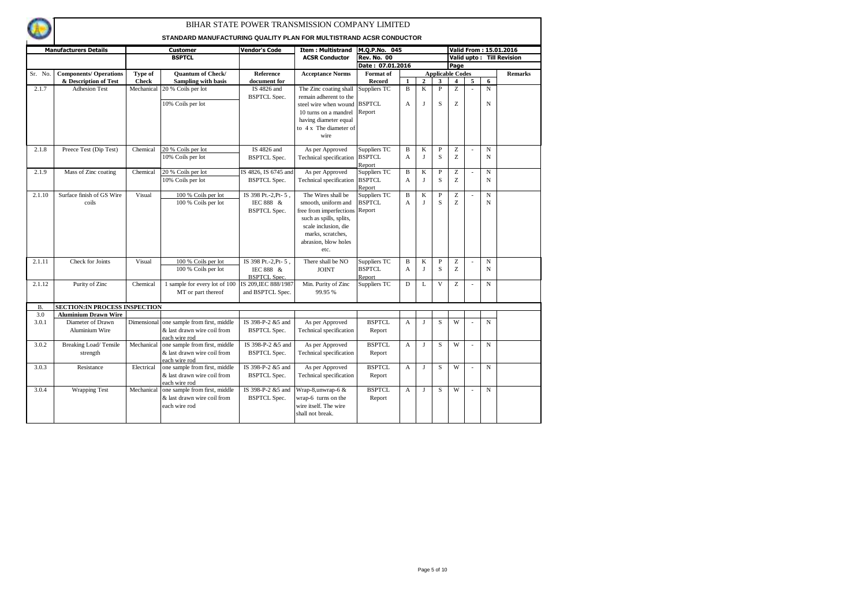|           | <b>Manufacturers Details</b>         |              | <b>Customer</b>                                | Vendor's Code        | <b>Item: Multistrand</b> | M.Q.P.No. 045      |              |                |                         |                |                |             | Valid From: 15.01.2016    |
|-----------|--------------------------------------|--------------|------------------------------------------------|----------------------|--------------------------|--------------------|--------------|----------------|-------------------------|----------------|----------------|-------------|---------------------------|
|           |                                      |              | <b>BSPTCL</b>                                  |                      | <b>ACSR Conductor</b>    | <b>Rev. No. 00</b> |              |                |                         |                |                |             | Valid upto: Till Revision |
|           |                                      |              |                                                |                      |                          | Date: 07.01.2016   |              |                |                         | Page           |                |             |                           |
| Sr. No.   | <b>Components/ Operations</b>        | Type of      | <b>Ouantum of Check/</b>                       | <b>Reference</b>     | <b>Acceptance Norms</b>  | Format of          |              |                | <b>Applicable Codes</b> |                |                |             | <b>Remarks</b>            |
|           | & Description of Test                | <b>Check</b> | <b>Sampling with basis</b>                     | document for         |                          | Record             | $\mathbf{1}$ | $\overline{2}$ | 3                       | $\overline{4}$ | 5              | 6           |                           |
| 2.1.7     | <b>Adhesion Test</b>                 |              | Mechanical 20 % Coils per lot                  | IS 4826 and          | The Zinc coating shall   | Suppliers TC       | B            | $\mathbf K$    | $\overline{P}$          | Ζ              | $\overline{a}$ | ${\bf N}$   |                           |
|           |                                      |              |                                                | <b>BSPTCL Spec.</b>  | remain adherent to the   |                    |              |                |                         |                |                |             |                           |
|           |                                      |              | 10% Coils per lot                              |                      | steel wire when wound    | <b>BSPTCL</b>      | A            | $\bf{J}$       | S                       | Z              |                | $\mathbf N$ |                           |
|           |                                      |              |                                                |                      | 10 turns on a mandrel    | Report             |              |                |                         |                |                |             |                           |
|           |                                      |              |                                                |                      | having diameter equal    |                    |              |                |                         |                |                |             |                           |
|           |                                      |              |                                                |                      | to 4 x The diameter of   |                    |              |                |                         |                |                |             |                           |
|           |                                      |              |                                                |                      | wire                     |                    |              |                |                         |                |                |             |                           |
|           |                                      |              |                                                |                      |                          |                    |              |                |                         |                |                |             |                           |
| 2.1.8     | Preece Test (Dip Test)               | Chemical     | 20 % Coils per lot                             | IS 4826 and          | As per Approved          | Suppliers TC       | B            | $\mathbf K$    | $\overline{P}$          | Z              | ÷,             | $\mathbf N$ |                           |
|           |                                      |              | 10% Coils per lot                              | <b>BSPTCL</b> Spec.  | Technical specification  | <b>BSPTCL</b>      | A            | J              | S                       | Z              |                | $\mathbf N$ |                           |
|           |                                      |              |                                                |                      |                          | Report             |              |                |                         |                |                |             |                           |
| 2.1.9     | Mass of Zinc coating                 | Chemical     | 20 % Coils per lot                             | IS 4826, IS 6745 and | As per Approved          | Suppliers TC       | $\mathbf B$  | $\mathbf K$    | $\mathbf{P}$            | Z              | L,             | $\mathbf N$ |                           |
|           |                                      |              | 10% Coils per lot                              | <b>BSPTCL Spec.</b>  | Technical specification  | <b>BSPTCL</b>      | A            | J              | S                       | Z              |                | N           |                           |
|           |                                      |              |                                                |                      |                          | Report             |              |                |                         |                |                |             |                           |
| 2.1.10    | Surface finish of GS Wire            | Visual       | 100 % Coils per lot                            | IS 398 Pt.-2, Pt-5,  | The Wires shall be       | Suppliers TC       | B            | K              | $\mathbf{P}$            | Ζ              |                | $\mathbf N$ |                           |
|           | coils                                |              | 100 % Coils per lot                            | IEC 888 &            | smooth, uniform and      | <b>BSPTCL</b>      | A            | $\bf{J}$       | S                       | Z              |                | $\mathbf N$ |                           |
|           |                                      |              |                                                | <b>BSPTCL Spec.</b>  | free from imperfections  | Report             |              |                |                         |                |                |             |                           |
|           |                                      |              |                                                |                      | such as spills, splits,  |                    |              |                |                         |                |                |             |                           |
|           |                                      |              |                                                |                      | scale inclusion, die     |                    |              |                |                         |                |                |             |                           |
|           |                                      |              |                                                |                      | marks, scratches.        |                    |              |                |                         |                |                |             |                           |
|           |                                      |              |                                                |                      | abrasion, blow holes     |                    |              |                |                         |                |                |             |                           |
|           |                                      |              |                                                |                      | etc.                     |                    |              |                |                         |                |                |             |                           |
| 2.1.11    | Check for Joints                     | Visual       | 100 % Coils per lot                            | IS 398 Pt.-2, Pt-5,  | There shall be NO        | Suppliers TC       | B            | K              | $\overline{P}$          | Ζ              |                | $\mathbf N$ |                           |
|           |                                      |              | 100 % Coils per lot                            | IEC 888 &            | <b>JOINT</b>             | <b>BSPTCL</b>      | A            | J              | S                       | Z              |                | N           |                           |
|           |                                      |              |                                                | <b>BSPTCL Spec.</b>  |                          | Report             |              |                |                         |                |                |             |                           |
| 2.1.12    | Purity of Zinc                       | Chemical     | 1 sample for every lot of 100                  | IS 209, IEC 888/1987 | Min. Purity of Zinc      | Suppliers TC       | D            | L              | $\mathbf{V}$            | Z              |                | $\mathbf N$ |                           |
|           |                                      |              | MT or part thereof                             | and BSPTCL Spec.     | 99.95 %                  |                    |              |                |                         |                |                |             |                           |
|           |                                      |              |                                                |                      |                          |                    |              |                |                         |                |                |             |                           |
| <b>B.</b> | <b>SECTION:IN PROCESS INSPECTION</b> |              |                                                |                      |                          |                    |              |                |                         |                |                |             |                           |
| 3.0       | <b>Aluminium Drawn Wire</b>          |              |                                                |                      |                          |                    |              |                |                         | W              |                |             |                           |
| 3.0.1     | Diameter of Drawn                    | Dimensional  | one sample from first, middle                  | IS 398-P-2 &5 and    | As per Approved          | <b>BSPTCL</b>      | $\mathbf{A}$ | $\bf{J}$       | S                       |                |                | $\mathbf N$ |                           |
|           | Aluminium Wire                       |              | & last drawn wire coil from                    | <b>BSPTCL Spec.</b>  | Technical specification  | Report             |              |                |                         |                |                |             |                           |
| 3.0.2     | Breaking Load/Tensile                | Mechanical   | each wire rod<br>one sample from first, middle | IS 398-P-2 &5 and    | As per Approved          | <b>BSPTCL</b>      | $\mathbf{A}$ | J              | S                       | W              | $\overline{a}$ | $\mathbf N$ |                           |
|           |                                      |              | & last drawn wire coil from                    |                      | Technical specification  |                    |              |                |                         |                |                |             |                           |
|           | strength                             |              | each wire rod                                  | <b>BSPTCL Spec.</b>  |                          | Report             |              |                |                         |                |                |             |                           |
| 3.0.3     | Resistance                           | Electrical   | one sample from first, middle                  | IS 398-P-2 &5 and    | As per Approved          | <b>BSPTCL</b>      | $\mathbf{A}$ | J              | S                       | W              |                | $\mathbf N$ |                           |
|           |                                      |              | & last drawn wire coil from                    | <b>BSPTCL Spec.</b>  | Technical specification  | Report             |              |                |                         |                |                |             |                           |
|           |                                      |              | each wire rod                                  |                      |                          |                    |              |                |                         |                |                |             |                           |
| 3.0.4     | <b>Wrapping Test</b>                 | Mechanical   | one sample from first, middle                  | IS 398-P-2 &5 and    | Wrap-8,unwrap-6 &        | <b>BSPTCL</b>      | $\mathbf{A}$ | $\mathbf{I}$   | S                       | W              | L.             | $\mathbf N$ |                           |
|           |                                      |              | & last drawn wire coil from                    | <b>BSPTCL Spec.</b>  | wrap-6 turns on the      | Report             |              |                |                         |                |                |             |                           |
|           |                                      |              | each wire rod                                  |                      | wire itself. The wire    |                    |              |                |                         |                |                |             |                           |
|           |                                      |              |                                                |                      | shall not break.         |                    |              |                |                         |                |                |             |                           |
|           |                                      |              |                                                |                      |                          |                    |              |                |                         |                |                |             |                           |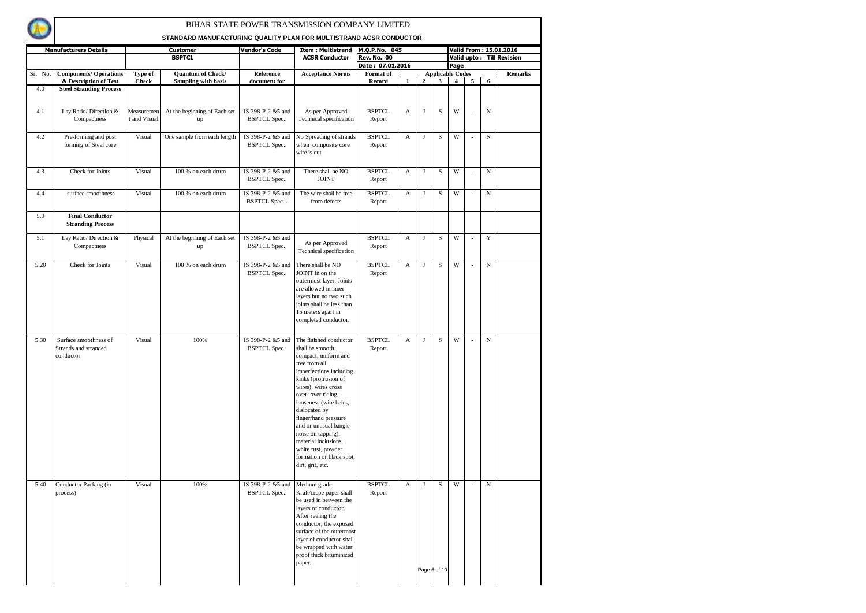

|         | <b>Manufacturers Details</b>                               |                            | <b>Customer</b>                    | <b>Vendor's Code</b>                    | <b>Item: Multistrand</b>                                                                                                                                                                                                                                                                                                                                                                           | M.Q.P.No. 045           |                           |              |                   |                         |        |            | Valid From: 15.01.2016    |
|---------|------------------------------------------------------------|----------------------------|------------------------------------|-----------------------------------------|----------------------------------------------------------------------------------------------------------------------------------------------------------------------------------------------------------------------------------------------------------------------------------------------------------------------------------------------------------------------------------------------------|-------------------------|---------------------------|--------------|-------------------|-------------------------|--------|------------|---------------------------|
|         |                                                            |                            | <b>BSPTCL</b>                      |                                         | <b>ACSR Conductor</b>                                                                                                                                                                                                                                                                                                                                                                              | <b>Rev. No. 00</b>      |                           |              |                   |                         |        |            | Valid upto: Till Revision |
|         |                                                            |                            |                                    |                                         |                                                                                                                                                                                                                                                                                                                                                                                                    | Date: 07.01.2016        |                           |              |                   | Page                    |        |            |                           |
| Sr. No. | <b>Components/ Operations</b>                              | Type of                    | Quantum of Check/                  | Reference                               | <b>Acceptance Norms</b>                                                                                                                                                                                                                                                                                                                                                                            | Format of               |                           |              |                   | <b>Applicable Codes</b> |        |            | <b>Remarks</b>            |
|         | & Description of Test                                      | <b>Check</b>               | Sampling with basis                | document for                            |                                                                                                                                                                                                                                                                                                                                                                                                    | <b>Record</b>           | $\mathbf{1}$              | $\mathbf{2}$ | 3                 | $\overline{4}$          | 5      | 6          |                           |
| 4.0     | <b>Steel Stranding Process</b>                             |                            |                                    |                                         |                                                                                                                                                                                                                                                                                                                                                                                                    |                         |                           |              |                   |                         |        |            |                           |
| 4.1     | Lay Ratio/ Direction &<br>Compactness                      | Measuremen<br>t and Visual | At the beginning of Each set<br>up | IS 398-P-2 &5 and<br><b>BSPTCL Spec</b> | As per Approved<br>Technical specification                                                                                                                                                                                                                                                                                                                                                         | <b>BSPTCL</b><br>Report | A                         | J            | S                 | W                       |        | N          |                           |
| 4.2     | Pre-forming and post<br>forming of Steel core              | Visual                     | One sample from each length        | IS 398-P-2 &5 and<br><b>BSPTCL Spec</b> | No Spreading of strands<br>when composite core<br>wire is cut                                                                                                                                                                                                                                                                                                                                      | <b>BSPTCL</b><br>Report | A                         | $_{\rm J}$   | S                 | W                       |        | $_{\rm N}$ |                           |
| 4.3     | Check for Joints                                           | Visual                     | 100 % on each drum                 | IS 398-P-2 &5 and<br><b>BSPTCL Spec</b> | There shall be NO<br><b>JOINT</b>                                                                                                                                                                                                                                                                                                                                                                  | <b>BSPTCL</b><br>Report | $\boldsymbol{\mathsf{A}}$ | $_{\rm J}$   | $\mathbf S$       | W                       | $\sim$ | ${\bf N}$  |                           |
| 4.4     | surface smoothness                                         | Visual                     | 100 % on each drum                 | IS 398-P-2 &5 and<br><b>BSPTCL Spec</b> | The wire shall be free<br>from defects                                                                                                                                                                                                                                                                                                                                                             | <b>BSPTCL</b><br>Report | A                         | J            | S                 | W                       | $\sim$ | $_{\rm N}$ |                           |
| 5.0     | <b>Final Conductor</b><br><b>Stranding Process</b>         |                            |                                    |                                         |                                                                                                                                                                                                                                                                                                                                                                                                    |                         |                           |              |                   |                         |        |            |                           |
| 5.1     | Lay Ratio/ Direction &<br>Compactness                      | Physical                   | At the beginning of Each set<br>up | IS 398-P-2 &5 and<br><b>BSPTCL Spec</b> | As per Approved<br>Technical specification                                                                                                                                                                                                                                                                                                                                                         | <b>BSPTCL</b><br>Report | A                         | J            | S                 | W                       | $\sim$ | Y          |                           |
| 5.20    | Check for Joints                                           | Visual                     | 100 % on each drum                 | IS 398-P-2 &5 and<br><b>BSPTCL Spec</b> | There shall be NO<br>JOINT in on the<br>outermost layer. Joints<br>are allowed in inner<br>layers but no two such<br>joints shall be less than<br>15 meters apart in<br>completed conductor.                                                                                                                                                                                                       | <b>BSPTCL</b><br>Report | A                         | $_{\rm J}$   | $\mathbf S$       | W                       | $\sim$ | $_{\rm N}$ |                           |
| 5.30    | Surface smoothness of<br>Strands and stranded<br>conductor | Visual                     | 100%                               | IS 398-P-2 &5 and<br><b>BSPTCL Spec</b> | The finished conductor<br>shall be smooth,<br>compact, uniform and<br>free from all<br>imperfections including<br>kinks (protrusion of<br>wires), wires cross<br>over, over riding,<br>looseness (wire being<br>dislocated by<br>finger/hand pressure<br>and or unusual bangle<br>noise on tapping),<br>material inclusions,<br>white rust, powder<br>formation or black spot,<br>dirt, grit, etc. | <b>BSPTCL</b><br>Report | A                         | J            | S                 | W                       |        | $_{\rm N}$ |                           |
| 5.40    | Conductor Packing (in<br>process)                          | Visual                     | 100%                               | IS 398-P-2 &5 and<br><b>BSPTCL Spec</b> | Medium grade<br>Kraft/crepe paper shall<br>be used in between the<br>layers of conductor.<br>After reeling the<br>conductor, the exposed<br>surface of the outermost<br>layer of conductor shall<br>be wrapped with water<br>proof thick bituminized<br>paper.                                                                                                                                     | <b>BSPTCL</b><br>Report | A                         | J            | S<br>Page 6 of 10 | W                       | . –    | N          |                           |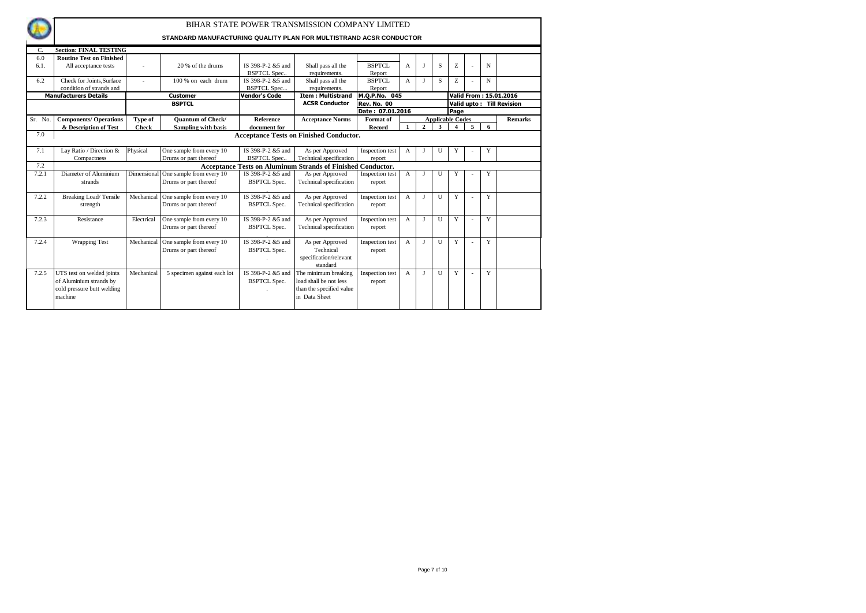

| C.      | <b>Section: FINAL TESTING</b>   |              |                                      |                     |                                                                    |                    |                |              |              |                         |   |   |                           |
|---------|---------------------------------|--------------|--------------------------------------|---------------------|--------------------------------------------------------------------|--------------------|----------------|--------------|--------------|-------------------------|---|---|---------------------------|
| 6.0     | <b>Routine Test on Finished</b> |              |                                      |                     |                                                                    |                    |                |              |              |                         |   |   |                           |
| 6.1.    | All acceptance tests            |              | 20 % of the drums                    | IS 398-P-2 &5 and   | Shall pass all the                                                 | BSPTCL             | $\overline{A}$ |              | S            | Z                       |   | N |                           |
|         |                                 |              |                                      | <b>BSPTCL Spec</b>  | requirements.                                                      | Report             |                |              |              |                         |   |   |                           |
| 6.2     | Check for Joints.Surface        |              | 100 % on each drum                   | IS 398-P-2 &5 and   | Shall pass all the                                                 | <b>BSPTCL</b>      | A              |              | S            | Z                       |   | N |                           |
|         | condition of strands and        |              |                                      | <b>BSPTCL Spec</b>  | requirements.                                                      | Report             |                |              |              |                         |   |   |                           |
|         | <b>Manufacturers Details</b>    |              | <b>Customer</b>                      | Vendor's Code       | <b>Item: Multistrand</b>                                           | M.Q.P.No. 045      |                |              |              |                         |   |   | Valid From: 15.01.2016    |
|         |                                 |              | <b>BSPTCL</b>                        |                     | <b>ACSR Conductor</b>                                              | <b>Rev. No. 00</b> |                |              |              |                         |   |   | Valid upto: Till Revision |
|         |                                 |              |                                      |                     |                                                                    | Date: 07.01.2016   |                |              |              | Page                    |   |   |                           |
| Sr. No. | <b>Components/ Operations</b>   | Type of      | <b>Ouantum of Check/</b>             | Reference           | <b>Acceptance Norms</b>                                            | Format of          |                |              |              | <b>Applicable Codes</b> |   |   | <b>Remarks</b>            |
|         | & Description of Test           | <b>Check</b> | Sampling with basis                  | document for        |                                                                    | Record             |                | $\mathbf{2}$ | 3            | $\overline{4}$          | 5 | 6 |                           |
| 7.0     |                                 |              |                                      |                     | <b>Acceptance Tests on Finished Conductor.</b>                     |                    |                |              |              |                         |   |   |                           |
|         |                                 |              |                                      |                     |                                                                    |                    |                |              |              |                         |   |   |                           |
| 7.1     | Lay Ratio / Direction &         | Physical     | One sample from every 10             | IS 398-P-2 &5 and   | As per Approved                                                    | Inspection test    | $\overline{A}$ |              | $\mathbf{U}$ | Y                       |   | Y |                           |
|         | Compactness                     |              | Drums or part thereof                | <b>BSPTCL Spec.</b> | Technical specification                                            | report             |                |              |              |                         |   |   |                           |
| 7.2     |                                 |              |                                      |                     | <b>Acceptance Tests on Aluminum Strands of Finished Conductor.</b> |                    |                |              |              |                         |   |   |                           |
| 7.2.1   | Diameter of Aluminium           |              | Dimensional One sample from every 10 | IS 398-P-2 &5 and   | As per Approved                                                    | Inspection test    | A              |              | $\mathbf{U}$ | Y                       |   | Y |                           |
|         | strands                         |              | Drums or part thereof                | <b>BSPTCL Spec.</b> | Technical specification                                            | report             |                |              |              |                         |   |   |                           |
|         |                                 |              |                                      |                     |                                                                    |                    |                |              |              |                         |   |   |                           |
| 7.2.2   | Breaking Load/Tensile           | Mechanical   | One sample from every 10             | IS 398-P-2 &5 and   | As per Approved                                                    | Inspection test    | $\overline{A}$ | $_{\rm T}$   | $\mathbf{U}$ | Y                       |   | Y |                           |
|         | strength                        |              | Drums or part thereof                | <b>BSPTCL Spec.</b> | Technical specification                                            | report             |                |              |              |                         |   |   |                           |
|         |                                 |              |                                      |                     |                                                                    |                    |                |              |              |                         |   |   |                           |
| 7.2.3   | Resistance                      | Electrical   | One sample from every 10             | IS 398-P-2 &5 and   | As per Approved                                                    | Inspection test    | $\overline{A}$ | T            | $\mathbf{U}$ | Y                       |   | Y |                           |
|         |                                 |              | Drums or part thereof                | <b>BSPTCL Spec.</b> | Technical specification                                            | report             |                |              |              |                         |   |   |                           |
|         |                                 |              |                                      |                     |                                                                    |                    |                |              |              |                         |   |   |                           |
| 7.2.4   | <b>Wrapping Test</b>            | Mechanical   | One sample from every 10             | IS 398-P-2 &5 and   | As per Approved                                                    | Inspection test    | $\mathsf{A}$   | J            | $\mathbf{U}$ | Y                       |   | Y |                           |
|         |                                 |              | Drums or part thereof                | <b>BSPTCL Spec.</b> | Technical                                                          | report             |                |              |              |                         |   |   |                           |
|         |                                 |              |                                      |                     | specification/relevant                                             |                    |                |              |              |                         |   |   |                           |
|         |                                 |              |                                      |                     | standard                                                           |                    |                |              |              |                         |   |   |                           |
| 7.2.5   | UTS test on welded joints       | Mechanical   | 5 specimen against each lot          | IS 398-P-2 &5 and   | The minimum breaking                                               | Inspection test    | A              | T            | $\mathbf{U}$ | Y                       |   | Y |                           |
|         | of Aluminium strands by         |              |                                      | <b>BSPTCL Spec.</b> | load shall be not less                                             | report             |                |              |              |                         |   |   |                           |
|         | cold pressure butt welding      |              |                                      |                     | than the specified value                                           |                    |                |              |              |                         |   |   |                           |
|         | machine                         |              |                                      |                     | in Data Sheet                                                      |                    |                |              |              |                         |   |   |                           |
|         |                                 |              |                                      |                     |                                                                    |                    |                |              |              |                         |   |   |                           |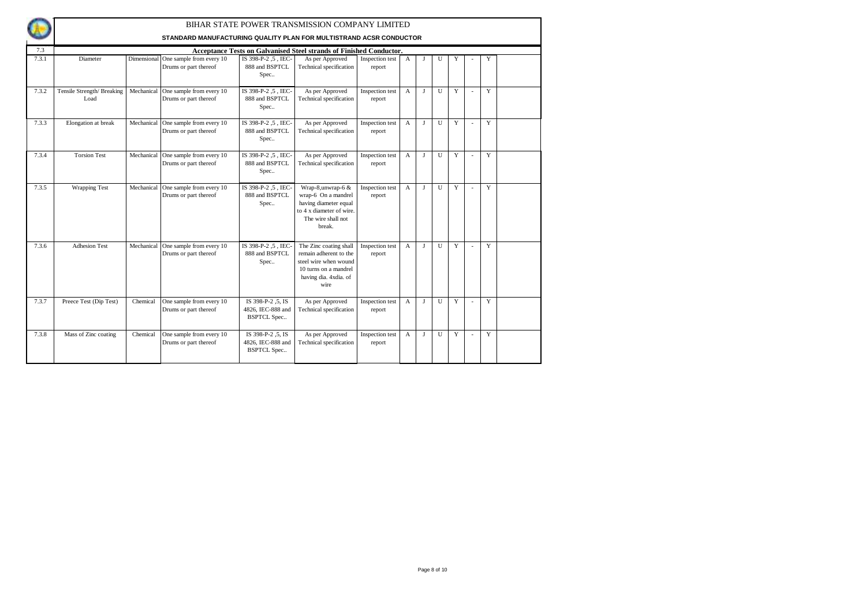|              |                                   |             | STANDARD MANUFACTURING QUALITY PLAN FOR MULTISTRAND ACSR CONDUCTOR |                                                              | BIHAR STATE POWER TRANSMISSION COMPANY LIMITED                                                                                      |                           |                |              |                |   |                |             |  |
|--------------|-----------------------------------|-------------|--------------------------------------------------------------------|--------------------------------------------------------------|-------------------------------------------------------------------------------------------------------------------------------------|---------------------------|----------------|--------------|----------------|---|----------------|-------------|--|
|              |                                   |             |                                                                    |                                                              |                                                                                                                                     |                           |                |              |                |   |                |             |  |
| 7.3<br>7.3.1 | Diameter                          | Dimensional | One sample from every 10<br>Drums or part thereof                  | IS 398-P-2, 5, IEC-<br>888 and BSPTCL<br>Spec                | Acceptance Tests on Galvanised Steel strands of Finished Conductor.<br>As per Approved<br>Technical specification                   | Inspection test<br>report | A              | $\mathbf I$  | U              | Y |                | Y           |  |
| 7.3.2        | Tensile Strength/Breaking<br>Load | Mechanical  | One sample from every 10<br>Drums or part thereof                  | IS 398-P-2, 5, IEC-<br>888 and BSPTCL<br>Spec                | As per Approved<br>Technical specification                                                                                          | Inspection test<br>report | $\mathbf{A}$   | $\mathbf I$  | U              | Y | ÷              | Y           |  |
| 7.3.3        | Elongation at break               | Mechanical  | One sample from every 10<br>Drums or part thereof                  | IS 398-P-2, 5, IEC-<br>888 and BSPTCL<br>Spec                | As per Approved<br>Technical specification                                                                                          | Inspection test<br>report | $\overline{A}$ | J            | $\overline{U}$ | Y | $\overline{a}$ | $\mathbf Y$ |  |
| 7.3.4        | <b>Torsion Test</b>               | Mechanical  | One sample from every 10<br>Drums or part thereof                  | IS 398-P-2, 5, IEC-<br>888 and BSPTCL<br>Spec                | As per Approved<br>Technical specification                                                                                          | Inspection test<br>report | $\mathbf{A}$   | $\mathbf{I}$ | U              | Y | $\overline{a}$ | Y           |  |
| 7.3.5        | <b>Wrapping Test</b>              | Mechanical  | One sample from every 10<br>Drums or part thereof                  | IS 398-P-2, 5, IEC-<br>888 and BSPTCL<br>Spec                | Wrap-8,unwrap-6 &<br>wrap-6 On a mandrel<br>having diameter equal<br>to 4 x diameter of wire.<br>The wire shall not<br>break.       | Inspection test<br>report | $\overline{A}$ | J            | $\mathbf{U}$   | Y | $\sim$         | Y           |  |
| 7.3.6        | <b>Adhesion Test</b>              | Mechanical  | One sample from every 10<br>Drums or part thereof                  | IS 398-P-2.5. IEC-<br>888 and BSPTCL<br>Spec                 | The Zinc coating shall<br>remain adherent to the<br>steel wire when wound<br>10 turns on a mandrel<br>having dia. 4xdia. of<br>wire | Inspection test<br>report | $\overline{A}$ | $\mathbf{I}$ | U              | Y | $\sim$         | Y           |  |
| 7.3.7        | Preece Test (Dip Test)            | Chemical    | One sample from every 10<br>Drums or part thereof                  | IS 398-P-2, 5, IS<br>4826, IEC-888 and<br><b>BSPTCL Spec</b> | As per Approved<br>Technical specification                                                                                          | Inspection test<br>report | $\overline{A}$ | J            | $\overline{U}$ | Y | ÷.             | Y           |  |
| 7.3.8        | Mass of Zinc coating              | Chemical    | One sample from every 10<br>Drums or part thereof                  | IS 398-P-2, 5, IS<br>4826, IEC-888 and<br><b>BSPTCL Spec</b> | As per Approved<br>Technical specification                                                                                          | Inspection test<br>report | $\mathbf{A}$   | J            | $\mathbf{U}$   | Y |                | Y           |  |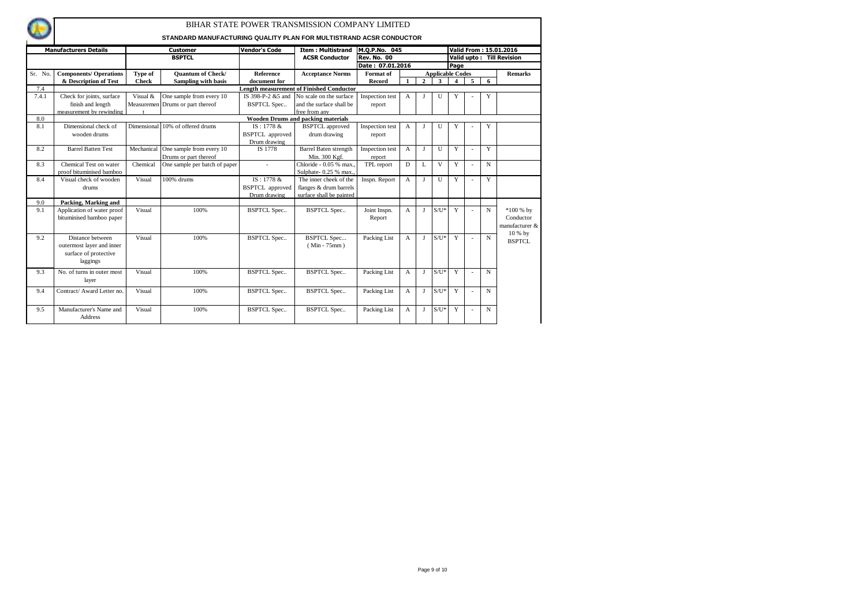|         |                                                                                    |              | STANDARD MANUFACTURING QUALITY PLAN FOR MULTISTRAND ACSR CONDUCTOR |                        | BIHAR STATE POWER TRANSMISSION COMPANY LIMITED  |                        |                |                |                         |                         |    |             |                                           |
|---------|------------------------------------------------------------------------------------|--------------|--------------------------------------------------------------------|------------------------|-------------------------------------------------|------------------------|----------------|----------------|-------------------------|-------------------------|----|-------------|-------------------------------------------|
|         | <b>Manufacturers Details</b>                                                       |              | <b>Customer</b>                                                    | <b>Vendor's Code</b>   | <b>Item: Multistrand</b>                        | M.Q.P.No. 045          |                |                |                         |                         |    |             | Valid From: 15.01.2016                    |
|         |                                                                                    |              | <b>BSPTCL</b>                                                      |                        | <b>ACSR Conductor</b>                           | <b>Rev. No. 00</b>     |                |                |                         |                         |    |             | Valid upto: Till Revision                 |
|         |                                                                                    |              |                                                                    |                        |                                                 | Date: 07.01.2016       |                |                |                         | Page                    |    |             |                                           |
| Sr. No. | <b>Components/ Operations</b>                                                      | Type of      | <b>Ouantum of Check/</b>                                           | Reference              | <b>Acceptance Norms</b>                         | Format of              |                |                | <b>Applicable Codes</b> |                         |    |             | <b>Remarks</b>                            |
|         | & Description of Test                                                              | <b>Check</b> | Sampling with basis                                                | document for           |                                                 | Record                 |                | $\overline{2}$ | $\mathbf{3}$            | $\overline{\mathbf{4}}$ | 5  | 6           |                                           |
| 7.4     |                                                                                    |              |                                                                    |                        | <b>Length measurement of Finished Conductor</b> |                        |                |                |                         |                         |    |             |                                           |
| 7.4.1   | Check for joints, surface                                                          | Visual &     | One sample from every 10                                           | IS 398-P-2 &5 and      | No scale on the surface                         | Inspection test        | A              |                | U                       | Y                       |    | Y           |                                           |
|         | finish and length                                                                  |              | Measuremen Drums or part thereof                                   | <b>BSPTCL Spec</b>     | and the surface shall be                        | report                 |                |                |                         |                         |    |             |                                           |
|         | measurement by rewinding                                                           |              |                                                                    |                        | free from any                                   |                        |                |                |                         |                         |    |             |                                           |
| 8.0     |                                                                                    |              |                                                                    |                        | <b>Wooden Drums and packing materials</b>       |                        |                |                |                         |                         |    |             |                                           |
| 8.1     | Dimensional check of                                                               |              | Dimensional 10% of offered drums                                   | IS: 1778 &             | <b>BSPTCL</b> approved                          | Inspection test        | $\overline{A}$ |                | $\mathbf{U}$            | Y                       |    | Y           |                                           |
|         | wooden drums                                                                       |              |                                                                    | <b>BSPTCL</b> approved | drum drawing                                    | report                 |                |                |                         |                         |    |             |                                           |
|         |                                                                                    |              |                                                                    | Drum drawing           |                                                 |                        |                |                |                         |                         |    |             |                                           |
| 8.2     | <b>Barrel Batten Test</b>                                                          | Mechanical   | One sample from every 10                                           | IS 1778                | <b>Barrel Baten strength</b>                    | Inspection test        | $\overline{A}$ | J              | U                       | Y                       | ٠  | Y           |                                           |
|         |                                                                                    |              | Drums or part thereof                                              |                        | Min. 300 Kgf.                                   | report                 |                |                |                         |                         |    |             |                                           |
| 8.3     | Chemical Test on water                                                             | Chemical     | One sample per batch of paper                                      |                        | Chloride - 0.05 % max.                          | TPL report             | D              | L              | $\mathbf{V}$            | Y                       |    | $\mathbf N$ |                                           |
|         | proof bituminised bamboo                                                           |              |                                                                    |                        | Sulphate- 0.25 % max.                           |                        |                |                |                         |                         |    |             |                                           |
| 8.4     | Visual check of wooden                                                             | Visual       | 100% drums                                                         | IS: 1778 &             | The inner cheek of the                          | Inspn. Report          | $\mathbf{A}$   | $\mathbf{I}$   | $\mathbf{U}$            | Y                       | ÷, | Y           |                                           |
|         | drums                                                                              |              |                                                                    | <b>BSPTCL</b> approved | flanges & drum barrels                          |                        |                |                |                         |                         |    |             |                                           |
|         |                                                                                    |              |                                                                    | Drum drawing           | surface shall be painted                        |                        |                |                |                         |                         |    |             |                                           |
| 9.0     | Packing, Marking and                                                               |              |                                                                    |                        |                                                 |                        |                |                |                         |                         |    |             |                                           |
| 9.1     | Application of water proof<br>bituminised bamboo paper                             | Visual       | 100%                                                               | <b>BSPTCL Spec</b>     | <b>BSPTCL Spec</b>                              | Joint Inspn.<br>Report | A              |                | $S/U^*$                 | Y                       |    | N           | $*100%$ by<br>Conductor<br>manufacturer & |
| 9.2     | Distance between<br>outermost layer and inner<br>surface of protective<br>laggings | Visual       | 100%                                                               | <b>BSPTCL Spec</b>     | <b>BSPTCL Spec</b><br>$(Min - 75mm)$            | Packing List           | $\overline{A}$ | $\mathbf{I}$   | $S/U^*$                 | Y                       |    | $\mathbf N$ | 10 % by<br>BSPTCL                         |
| 9.3     | No. of turns in outer most<br>layer                                                | Visual       | 100%                                                               | <b>BSPTCL Spec</b>     | <b>BSPTCL Spec</b>                              | Packing List           | $\mathsf{A}$   | J              | $S/U^*$                 | Y                       |    | $\mathbf N$ |                                           |
| 9.4     | Contract/ Award Letter no.                                                         | Visual       | 100%                                                               | <b>BSPTCL Spec</b>     | <b>BSPTCL Spec</b>                              | Packing List           | $\mathsf{A}$   | Т.             | $S/U^*$                 | Y                       |    | $\mathbf N$ |                                           |
| 9.5     | Manufacturer's Name and<br>Address                                                 | Visual       | 100%                                                               | <b>BSPTCL Spec</b>     | <b>BSPTCL Spec</b>                              | Packing List           | $\overline{A}$ | $\mathbf{I}$   | $S/U^*$                 | Y                       |    | N           |                                           |